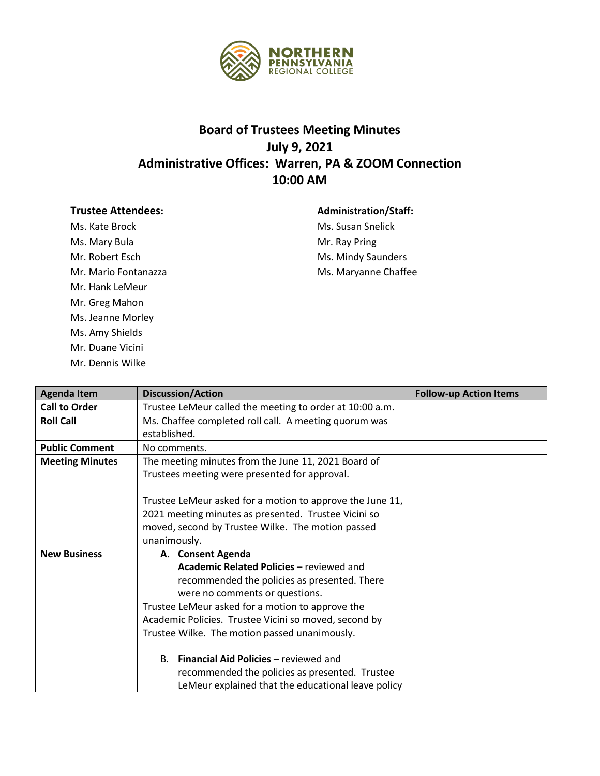

## **Board of Trustees Meeting Minutes July 9, 2021 Administrative Offices: Warren, PA & ZOOM Connection 10:00 AM**

Ms. Kate Brock Ms. Susan Snelick Ms. Mary Bula **Mr. Ray Pring** Mr. Hank LeMeur Mr. Greg Mahon Ms. Jeanne Morley Ms. Amy Shields Mr. Duane Vicini Mr. Dennis Wilke

## **Trustee Attendees: Administration/Staff:**

Mr. Robert Esch Mr. Absolute Ms. Mindy Saunders Mr. Mario Fontanazza Ms. Maryanne Chaffee

| <b>Agenda Item</b>     | <b>Discussion/Action</b>                                       | <b>Follow-up Action Items</b> |
|------------------------|----------------------------------------------------------------|-------------------------------|
| <b>Call to Order</b>   | Trustee LeMeur called the meeting to order at 10:00 a.m.       |                               |
| <b>Roll Call</b>       | Ms. Chaffee completed roll call. A meeting quorum was          |                               |
|                        | established.                                                   |                               |
| <b>Public Comment</b>  | No comments.                                                   |                               |
| <b>Meeting Minutes</b> | The meeting minutes from the June 11, 2021 Board of            |                               |
|                        | Trustees meeting were presented for approval.                  |                               |
|                        |                                                                |                               |
|                        | Trustee LeMeur asked for a motion to approve the June 11,      |                               |
|                        | 2021 meeting minutes as presented. Trustee Vicini so           |                               |
|                        | moved, second by Trustee Wilke. The motion passed              |                               |
|                        | unanimously.                                                   |                               |
| <b>New Business</b>    | A. Consent Agenda                                              |                               |
|                        | Academic Related Policies - reviewed and                       |                               |
|                        | recommended the policies as presented. There                   |                               |
|                        | were no comments or questions.                                 |                               |
|                        | Trustee LeMeur asked for a motion to approve the               |                               |
|                        | Academic Policies. Trustee Vicini so moved, second by          |                               |
|                        | Trustee Wilke. The motion passed unanimously.                  |                               |
|                        |                                                                |                               |
|                        | <b>Financial Aid Policies - reviewed and</b><br>B <sub>1</sub> |                               |
|                        | recommended the policies as presented. Trustee                 |                               |
|                        | LeMeur explained that the educational leave policy             |                               |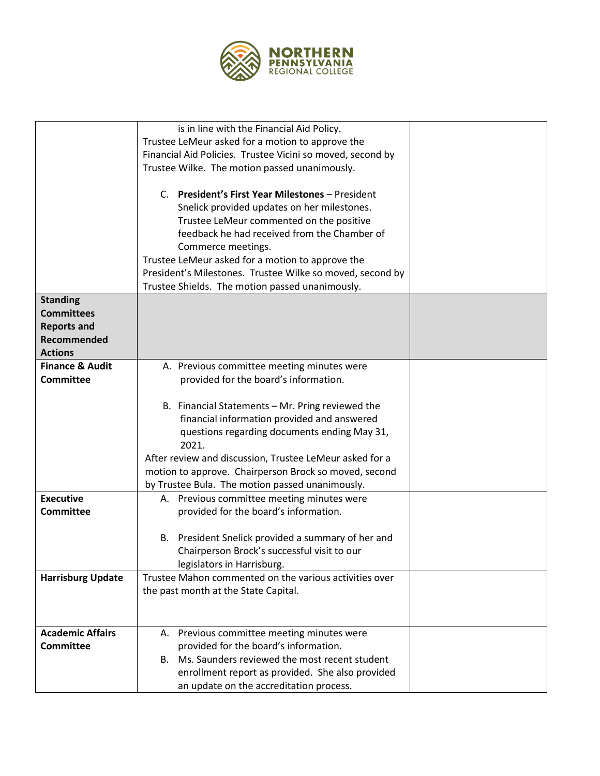

|                            | is in line with the Financial Aid Policy.                                                      |  |
|----------------------------|------------------------------------------------------------------------------------------------|--|
|                            | Trustee LeMeur asked for a motion to approve the                                               |  |
|                            | Financial Aid Policies. Trustee Vicini so moved, second by                                     |  |
|                            | Trustee Wilke. The motion passed unanimously.                                                  |  |
|                            |                                                                                                |  |
|                            | C. President's First Year Milestones - President                                               |  |
|                            | Snelick provided updates on her milestones.                                                    |  |
|                            | Trustee LeMeur commented on the positive                                                       |  |
|                            | feedback he had received from the Chamber of                                                   |  |
|                            | Commerce meetings.                                                                             |  |
|                            | Trustee LeMeur asked for a motion to approve the                                               |  |
|                            | President's Milestones. Trustee Wilke so moved, second by                                      |  |
|                            | Trustee Shields. The motion passed unanimously.                                                |  |
| <b>Standing</b>            |                                                                                                |  |
| <b>Committees</b>          |                                                                                                |  |
| <b>Reports and</b>         |                                                                                                |  |
| Recommended                |                                                                                                |  |
| <b>Actions</b>             |                                                                                                |  |
| <b>Finance &amp; Audit</b> |                                                                                                |  |
| <b>Committee</b>           | A. Previous committee meeting minutes were<br>provided for the board's information.            |  |
|                            |                                                                                                |  |
|                            | B. Financial Statements - Mr. Pring reviewed the                                               |  |
|                            |                                                                                                |  |
|                            | financial information provided and answered                                                    |  |
|                            | questions regarding documents ending May 31,<br>2021.                                          |  |
|                            |                                                                                                |  |
|                            | After review and discussion, Trustee LeMeur asked for a                                        |  |
|                            | motion to approve. Chairperson Brock so moved, second                                          |  |
| <b>Executive</b>           | by Trustee Bula. The motion passed unanimously.                                                |  |
|                            | A. Previous committee meeting minutes were                                                     |  |
| <b>Committee</b>           | provided for the board's information.                                                          |  |
|                            | В.                                                                                             |  |
|                            | President Snelick provided a summary of her and<br>Chairperson Brock's successful visit to our |  |
|                            |                                                                                                |  |
|                            | legislators in Harrisburg.<br>Trustee Mahon commented on the various activities over           |  |
| <b>Harrisburg Update</b>   |                                                                                                |  |
|                            | the past month at the State Capital.                                                           |  |
|                            |                                                                                                |  |
|                            |                                                                                                |  |
| <b>Academic Affairs</b>    | A. Previous committee meeting minutes were                                                     |  |
| <b>Committee</b>           | provided for the board's information.                                                          |  |
|                            | B. Ms. Saunders reviewed the most recent student                                               |  |
|                            | enrollment report as provided. She also provided                                               |  |
|                            | an update on the accreditation process.                                                        |  |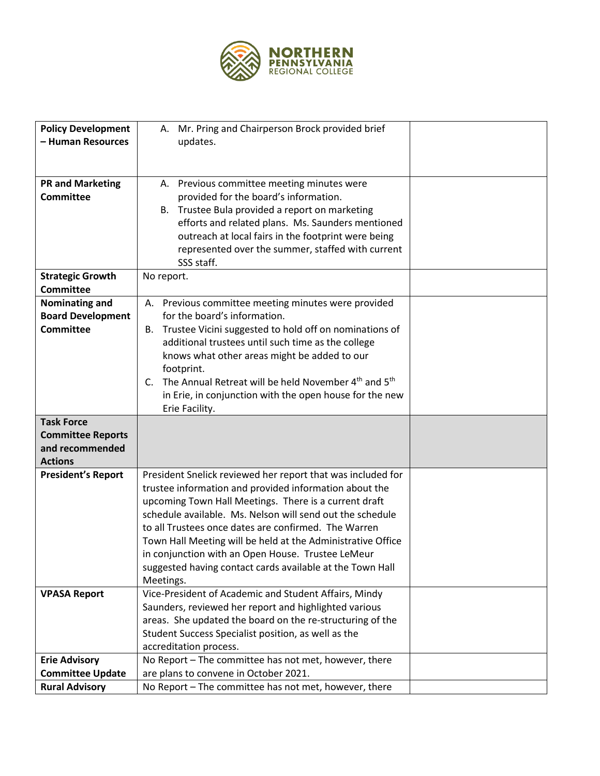

| <b>Policy Development</b> | A. Mr. Pring and Chairperson Brock provided brief                                  |
|---------------------------|------------------------------------------------------------------------------------|
| - Human Resources         | updates.                                                                           |
|                           |                                                                                    |
|                           |                                                                                    |
| <b>PR and Marketing</b>   | A. Previous committee meeting minutes were                                         |
| <b>Committee</b>          | provided for the board's information.                                              |
|                           | Trustee Bula provided a report on marketing<br>В.                                  |
|                           | efforts and related plans. Ms. Saunders mentioned                                  |
|                           | outreach at local fairs in the footprint were being                                |
|                           | represented over the summer, staffed with current                                  |
|                           | SSS staff.                                                                         |
| <b>Strategic Growth</b>   | No report.                                                                         |
| <b>Committee</b>          |                                                                                    |
| Nominating and            | Previous committee meeting minutes were provided<br>Α.                             |
| <b>Board Development</b>  | for the board's information.                                                       |
| <b>Committee</b>          | Trustee Vicini suggested to hold off on nominations of<br>В.                       |
|                           | additional trustees until such time as the college                                 |
|                           | knows what other areas might be added to our                                       |
|                           | footprint.                                                                         |
|                           | The Annual Retreat will be held November 4 <sup>th</sup> and 5 <sup>th</sup><br>C. |
|                           | in Erie, in conjunction with the open house for the new                            |
|                           | Erie Facility.                                                                     |
| <b>Task Force</b>         |                                                                                    |
| <b>Committee Reports</b>  |                                                                                    |
| and recommended           |                                                                                    |
| <b>Actions</b>            |                                                                                    |
| <b>President's Report</b> | President Snelick reviewed her report that was included for                        |
|                           | trustee information and provided information about the                             |
|                           | upcoming Town Hall Meetings. There is a current draft                              |
|                           | schedule available. Ms. Nelson will send out the schedule                          |
|                           | to all Trustees once dates are confirmed. The Warren                               |
|                           | Town Hall Meeting will be held at the Administrative Office                        |
|                           | in conjunction with an Open House. Trustee LeMeur                                  |
|                           | suggested having contact cards available at the Town Hall                          |
|                           | Meetings.                                                                          |
| <b>VPASA Report</b>       | Vice-President of Academic and Student Affairs, Mindy                              |
|                           | Saunders, reviewed her report and highlighted various                              |
|                           | areas. She updated the board on the re-structuring of the                          |
|                           | Student Success Specialist position, as well as the                                |
|                           | accreditation process.                                                             |
| <b>Erie Advisory</b>      | No Report - The committee has not met, however, there                              |
| <b>Committee Update</b>   | are plans to convene in October 2021.                                              |
| <b>Rural Advisory</b>     | No Report - The committee has not met, however, there                              |